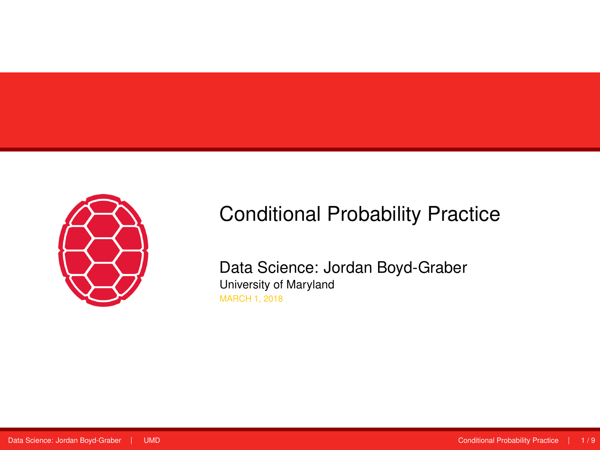<span id="page-0-0"></span>

# Conditional Probability Practice

Data Science: Jordan Boyd-Graber University of Maryland MARCH 1, 2018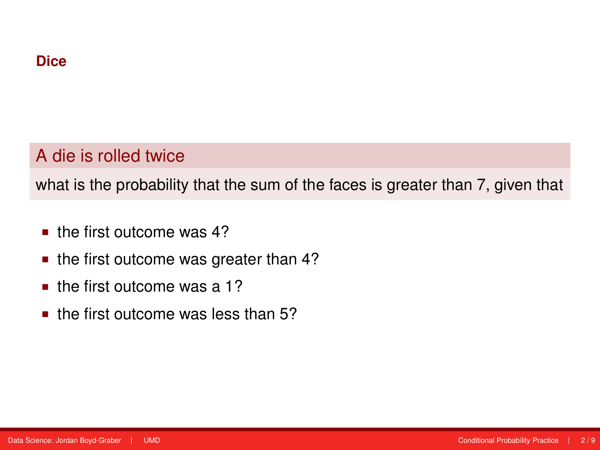# A die is rolled twice

what is the probability that the sum of the faces is greater than 7, given that

- **the first outcome was 4?**
- the first outcome was greater than 4?
- $\blacksquare$  the first outcome was a 1?
- $\blacksquare$  the first outcome was less than 5?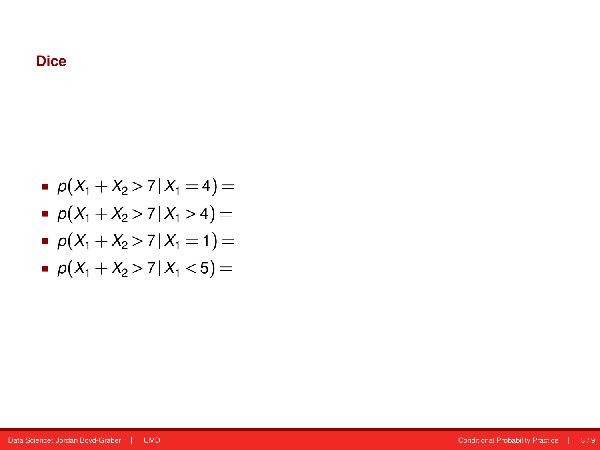## **Dice**

$$
p(X_1 + X_2 > 7 | X_1 = 4) =
$$

$$
p(X_1 + X_2 > 7 | X_1 > 4) =
$$

$$
p(X_1 + X_2 > 7 | X_1 = 1) =
$$

 $p(X_1 + X_2 > 7 | X_1 < 5) =$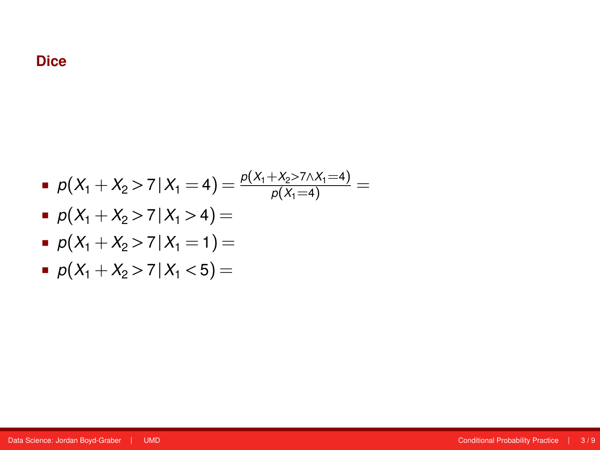$$
p(X_1 + X_2 > 7 | X_1 = 4) = \frac{p(X_1 + X_2 > 7 \wedge X_1 = 4)}{p(X_1 = 4)} =
$$

$$
p(X_1 + X_2 > 7 | X_1 > 4) =
$$

$$
p(X_1 + X_2 > 7 | X_1 = 1) =
$$

$$
p(X_1 + X_2 > 7 | X_1 < 5) =
$$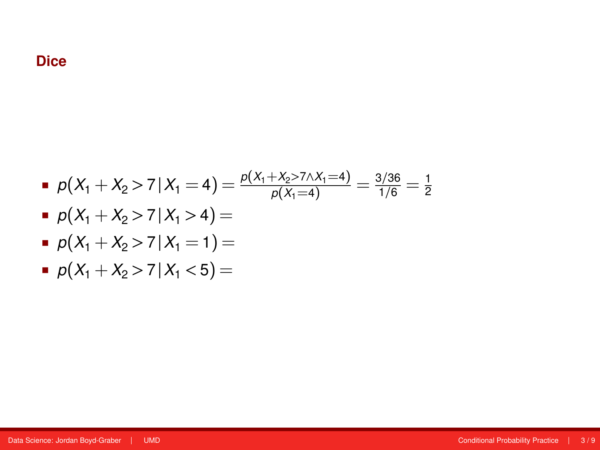$$
p(X_1 + X_2 > 7 | X_1 = 4) = \frac{p(X_1 + X_2 > 7 \land X_1 = 4)}{p(X_1 = 4)} = \frac{3/36}{1/6} = \frac{1}{2}
$$

$$
p(X_1 + X_2 > 7 | X_1 > 4) =
$$

$$
p(X_1 + X_2 > 7 | X_1 = 1) =
$$

$$
p(X_1 + X_2 > 7 | X_1 < 5) =
$$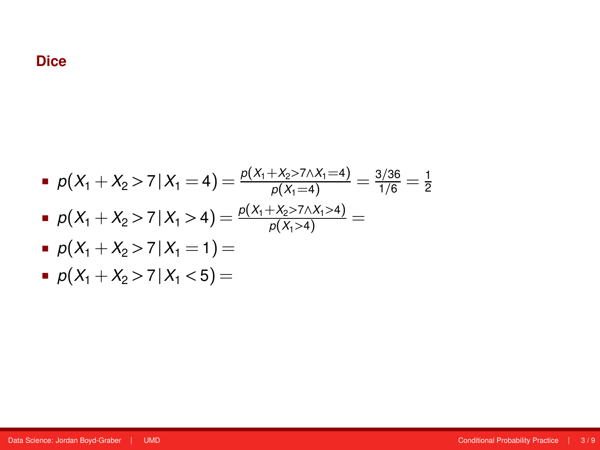### **Dice**

\n- \n
$$
p(X_1 + X_2 > 7 \mid X_1 = 4) = \frac{p(X_1 + X_2 > 7 \mid X_1 = 4)}{p(X_1 = 4)} = \frac{3/36}{1/6} = \frac{1}{2}
$$
\n
\n- \n
$$
p(X_1 + X_2 > 7 \mid X_1 > 4) = \frac{p(X_1 + X_2 > 7 \mid X_1 > 4)}{p(X_1 > 4)} = p(X_1 + X_2 > 7 \mid X_1 = 1) =
$$
\n
\n

$$
p(X_1 + X_2 > 7 | X_1 < 5) =
$$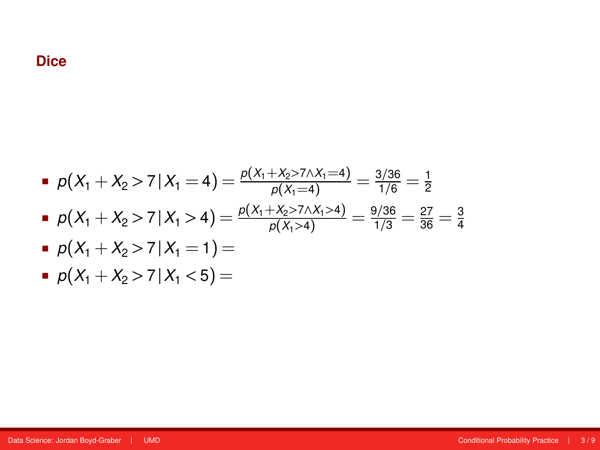\n- \n
$$
p(X_1 + X_2 > 7 \mid X_1 = 4) = \frac{p(X_1 + X_2 > 7 \mid X_1 = 4)}{p(X_1 = 4)} = \frac{3/36}{1/6} = \frac{1}{2}
$$
\n
\n- \n
$$
p(X_1 + X_2 > 7 \mid X_1 > 4) = \frac{p(X_1 + X_2 > 7 \mid X_1 > 4)}{p(X_1 > 4)} = \frac{9/36}{1/3} = \frac{27}{36} = \frac{3}{4}
$$
\n
\n- \n
$$
p(X_1 + X_2 > 7 \mid X_1 = 1) =
$$
\n
\n

$$
p(X_1 + X_2 > 7 | X_1 < 5) =
$$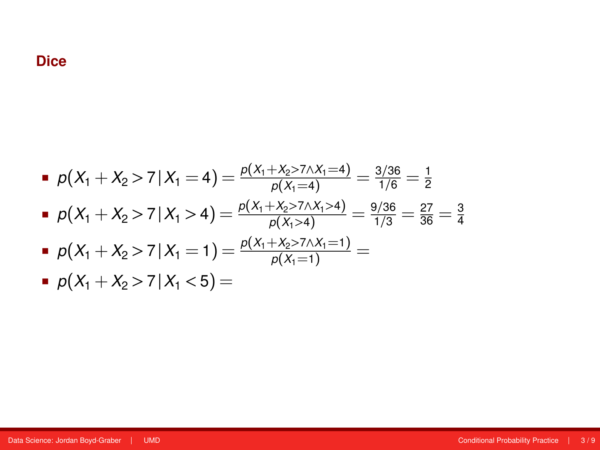\n- \n
$$
p(X_1 + X_2 > 7 \mid X_1 = 4) = \frac{p(X_1 + X_2 > 7 \mid X_1 = 4)}{p(X_1 = 4)} = \frac{3/36}{1/6} = \frac{1}{2}
$$
\n
\n- \n
$$
p(X_1 + X_2 > 7 \mid X_1 > 4) = \frac{p(X_1 + X_2 > 7 \mid X_1 > 4)}{p(X_1 > 4)} = \frac{9/36}{1/3} = \frac{27}{36} = \frac{3}{4}
$$
\n
\n- \n
$$
p(X_1 + X_2 > 7 \mid X_1 = 1) = \frac{p(X_1 + X_2 > 7 \mid X_1 = 1)}{p(X_1 = 1)} = \frac{p(X_1 + X_2 > 7 \mid X_1 = 1)}{p(X_1 = 1)} = \frac{p(X_1 + X_2 > 7 \mid X_1 = 5)}{p(X_1 = 1)} = \frac{p(X_1 + X_2 > 7 \mid X_1 = 5)}{p(X_1 = 1)} = \frac{p(X_1 + X_2 > 7 \mid X_1 = 5)}{p(X_1 = 1)} = \frac{p(X_1 + X_2 > 7 \mid X_1 = 5)}{p(X_1 = 1)} = \frac{p(X_1 + X_2 > 7 \mid X_1 = 5)}{p(X_1 = 1)} = \frac{p(X_1 + X_2 > 7 \mid X_1 = 5)}{p(X_1 = 1)} = \frac{p(X_1 + X_2 > 7 \mid X_1 = 1)}{p(X_1 = 1)} = \frac{p(X_1 + X_2 > 7 \mid X_1 = 1)}{p(X_1 = 1)} = \frac{p(X_1 + X_2 > 7 \mid X_1 = 1)}{p(X_1 = 1)} = \frac{p(X_1 + X_2 > 7 \mid X_1 = 1)}{p(X_1 = 1)} = \frac{p(X_1 + X_2 > 7 \mid X_1 = 1)}{p(X_1 = 1)} = \frac{p(X_1 + X_2 > 7 \mid X_1 = 5)}{p(X_1 = 1)} = \frac{p(X_1 + X_2 > 7 \mid X_1 = 5)}{p(X_1 = 1)} = \
$$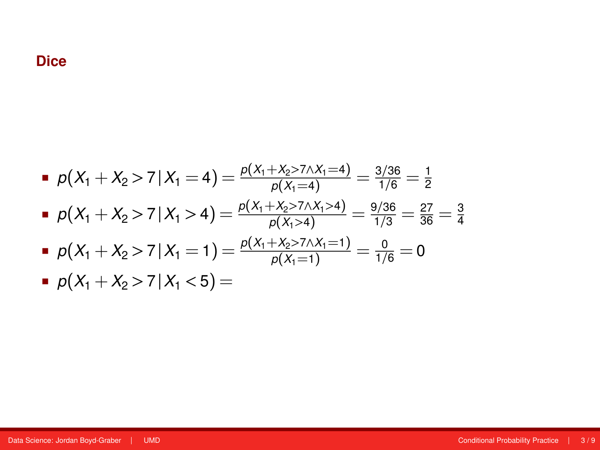\n- \n
$$
p(X_1 + X_2 > 7 \mid X_1 = 4) = \frac{p(X_1 + X_2 > 7 \mid X_1 = 4)}{p(X_1 = 4)} = \frac{3/36}{1/6} = \frac{1}{2}
$$
\n
\n- \n
$$
p(X_1 + X_2 > 7 \mid X_1 > 4) = \frac{p(X_1 + X_2 > 7 \mid X_1 > 4)}{p(X_1 > 4)} = \frac{9/36}{1/3} = \frac{27}{36} = \frac{3}{4}
$$
\n
\n- \n
$$
p(X_1 + X_2 > 7 \mid X_1 = 1) = \frac{p(X_1 + X_2 > 7 \mid X_1 = 1)}{p(X_1 = 1)} = \frac{0}{1/6} = 0
$$
\n
\n- \n
$$
p(X_1 + X_2 > 7 \mid X_1 < 5) =
$$
\n
\n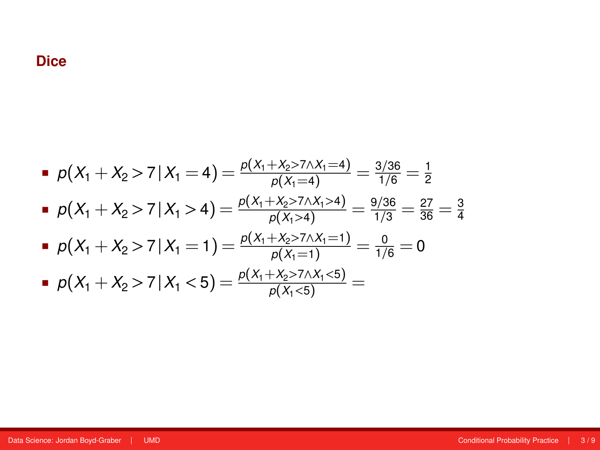\n- \n
$$
p(X_1 + X_2 > 7 \mid X_1 = 4) = \frac{p(X_1 + X_2 > 7 \mid X_1 = 4)}{p(X_1 = 4)} = \frac{3/36}{1/6} = \frac{1}{2}
$$
\n
\n- \n
$$
p(X_1 + X_2 > 7 \mid X_1 > 4) = \frac{p(X_1 + X_2 > 7 \mid X_1 > 4)}{p(X_1 > 4)} = \frac{9/36}{1/3} = \frac{27}{36} = \frac{3}{4}
$$
\n
\n- \n
$$
p(X_1 + X_2 > 7 \mid X_1 = 1) = \frac{p(X_1 + X_2 > 7 \mid X_1 = 1)}{p(X_1 = 1)} = \frac{0}{1/6} = 0
$$
\n
\n- \n
$$
p(X_1 + X_2 > 7 \mid X_1 < 5) = \frac{p(X_1 + X_2 > 7 \mid X_1 < 5)}{p(X_1 < 5)} = \frac{p(X_1 + X_2 > 7 \mid X_1 < 5)}{p(X_1 < 5)} = \frac{p(X_1 + X_2 > 7 \mid X_1 < 5)}{p(X_1 = 1)} = \frac{p(X_1 + X_2 > 7 \mid X_1 < 5)}{p(X_1 = 1)} = \frac{p(X_1 + X_2 > 7 \mid X_1 < 5)}{p(X_1 = 1)} = \frac{p(X_1 + X_2 > 7 \mid X_1 < 5)}{p(X_1 = 1)} = \frac{p(X_1 + X_2 > 7 \mid X_1 < 5)}{p(X_1 = 1)} = \frac{p(X_1 + X_2 > 7 \mid X_1 < 5)}{p(X_1 = 1)} = \frac{p(X_1 + X_2 > 7 \mid X_1 < 5)}{p(X_1 = 1)} = \frac{p(X_1 + X_2 > 7 \mid X_1 < 5)}{p(X_1 = 1)} = \frac{p(X_1 + X_2 > 7 \mid X_1 < 5)}{p(X_1 = 1)} = \frac{p(X_1 + X_2 > 7 \mid X_1 < 5
$$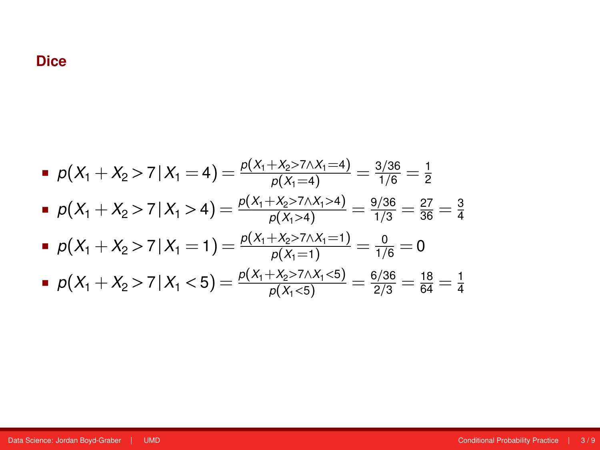\n- \n
$$
p(X_1 + X_2 > 7 \mid X_1 = 4) = \frac{p(X_1 + X_2 > 7 \mid X_1 = 4)}{p(X_1 = 4)} = \frac{3/36}{1/6} = \frac{1}{2}
$$
\n
\n- \n
$$
p(X_1 + X_2 > 7 \mid X_1 > 4) = \frac{p(X_1 + X_2 > 7 \mid X_1 > 4)}{p(X_1 > 4)} = \frac{9/36}{1/3} = \frac{27}{36} = \frac{3}{4}
$$
\n
\n- \n
$$
p(X_1 + X_2 > 7 \mid X_1 = 1) = \frac{p(X_1 + X_2 > 7 \mid X_1 = 1)}{p(X_1 = 1)} = \frac{0}{1/6} = 0
$$
\n
\n- \n
$$
p(X_1 + X_2 > 7 \mid X_1 < 5) = \frac{p(X_1 + X_2 > 7 \mid X_1 < 5)}{p(X_1 < 5)} = \frac{6/36}{2/3} = \frac{18}{64} = \frac{1}{4}
$$
\n
\n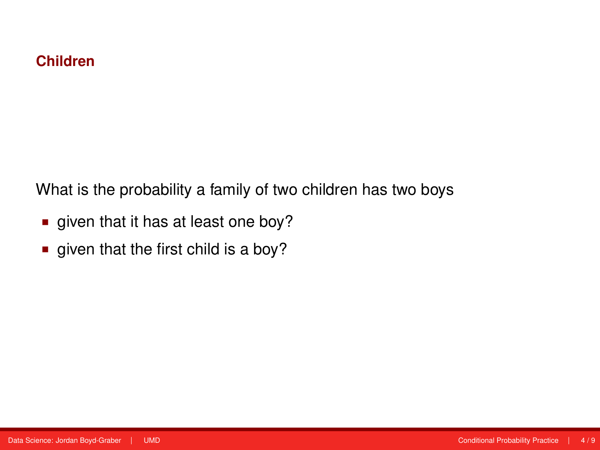What is the probability a family of two children has two boys

- qiven that it has at least one boy?
- qiven that the first child is a boy?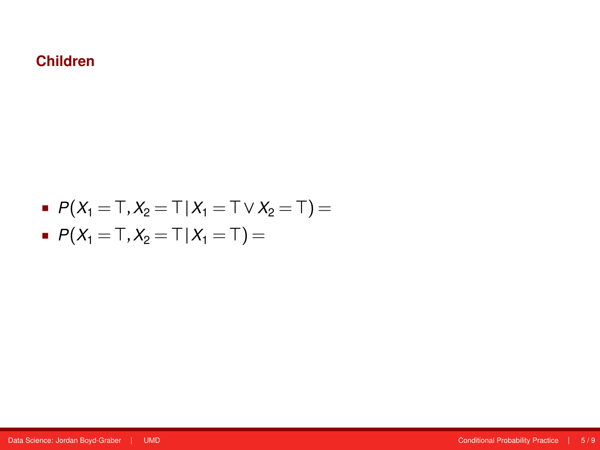\n- $$
P(X_1 = T, X_2 = T | X_1 = T \vee X_2 = T) =
$$
\n- $P(X_1 = T, X_2 = T | X_1 = T) =$
\n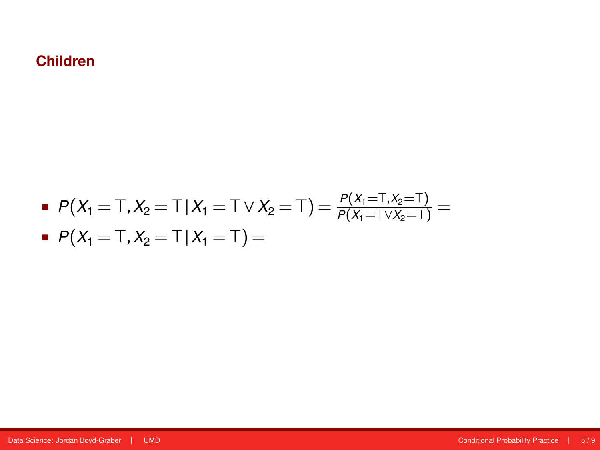■ 
$$
P(X_1 = T, X_2 = T | X_1 = T \vee X_2 = T) = \frac{P(X_1 = T, X_2 = T)}{P(X_1 = T \vee X_2 = T)} =
$$
  
=  $P(X_1 = T | X_2 = T) =$ 

$$
P(X_1 = T, X_2 = T | X_1 = T) =
$$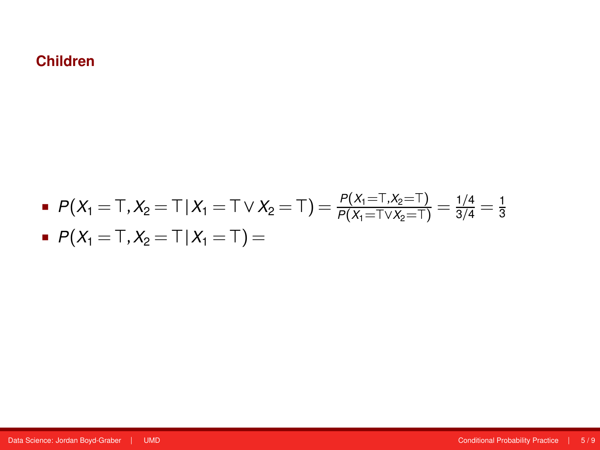\n- \n
$$
P(X_1 = T, X_2 = T | X_1 = T \vee X_2 = T) = \frac{P(X_1 = T, X_2 = T)}{P(X_1 = T \vee X_2 = T)} = \frac{1}{3/4} = \frac{1}{3}
$$
\n
\n- \n $P(X_1 = T, X_2 = T | X_1 = T) =$ \n
\n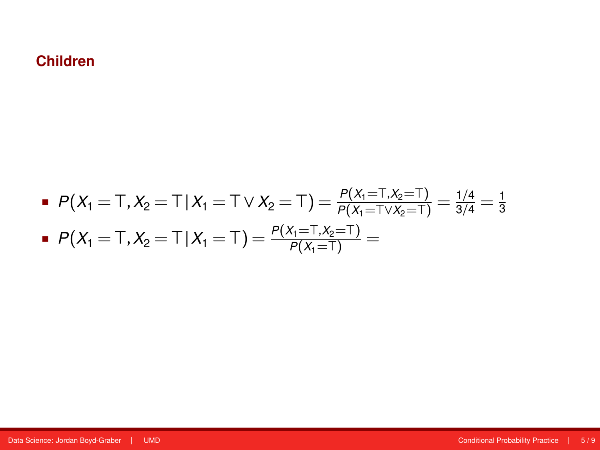\n- \n
$$
P(X_1 = T, X_2 = T | X_1 = T \vee X_2 = T) = \frac{P(X_1 = T, X_2 = T)}{P(X_1 = T \vee X_2 = T)} = \frac{1}{3/4} = \frac{1}{3}
$$
\n
\n- \n $P(X_1 = T, X_2 = T | X_1 = T) = \frac{P(X_1 = T, X_2 = T)}{P(X_1 = T)} =$ \n
\n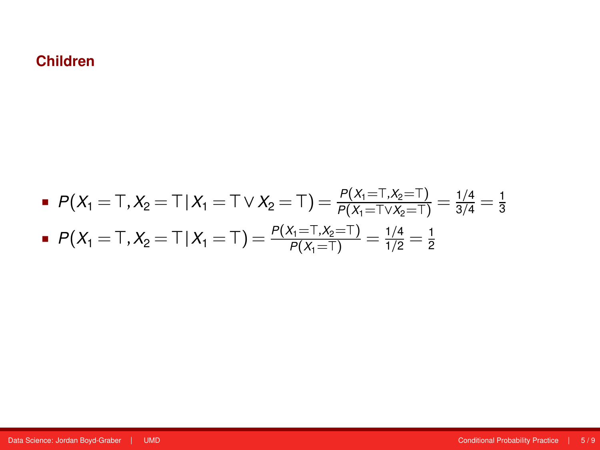\n- \n
$$
P(X_1 = T, X_2 = T | X_1 = T \vee X_2 = T) = \frac{P(X_1 = T, X_2 = T)}{P(X_1 = T \vee X_2 = T)} = \frac{1/4}{3/4} = \frac{1}{3}
$$
\n
\n- \n $P(X_1 = T, X_2 = T | X_1 = T) = \frac{P(X_1 = T, X_2 = T)}{P(X_1 = T)} = \frac{1/4}{1/2} = \frac{1}{2}$ \n
\n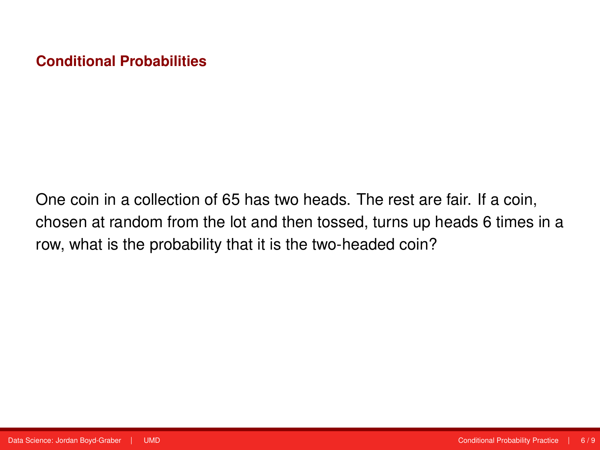One coin in a collection of 65 has two heads. The rest are fair. If a coin, chosen at random from the lot and then tossed, turns up heads 6 times in a row, what is the probability that it is the two-headed coin?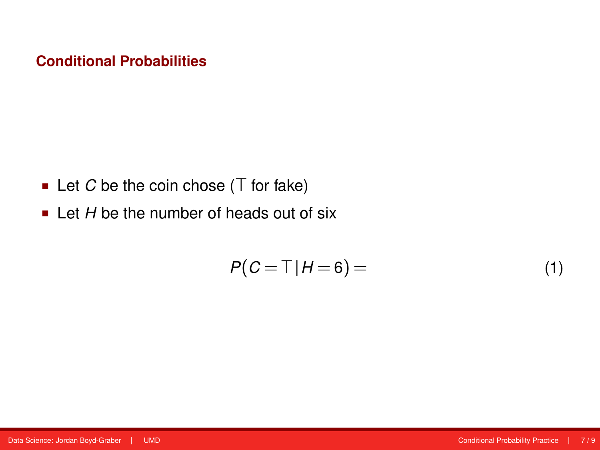- Let  $C$  be the coin chose  $(T$  for fake)
- Let *H* be the number of heads out of six

$$
P(C = T | H = 6) = \tag{1}
$$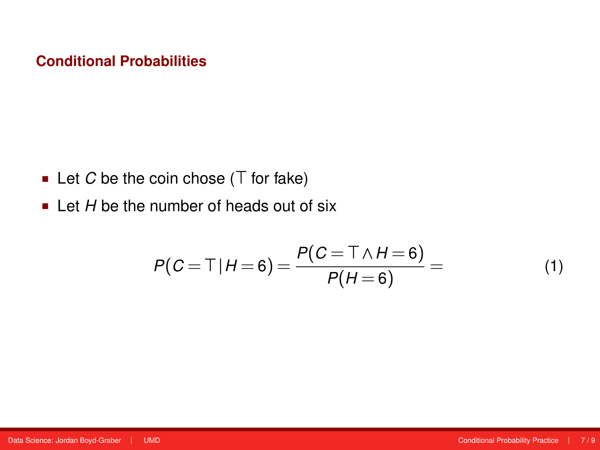- Let  $C$  be the coin chose  $(T$  for fake)
- Let *H* be the number of heads out of six

$$
P(C = T | H = 6) = \frac{P(C = T \land H = 6)}{P(H = 6)} = \tag{1}
$$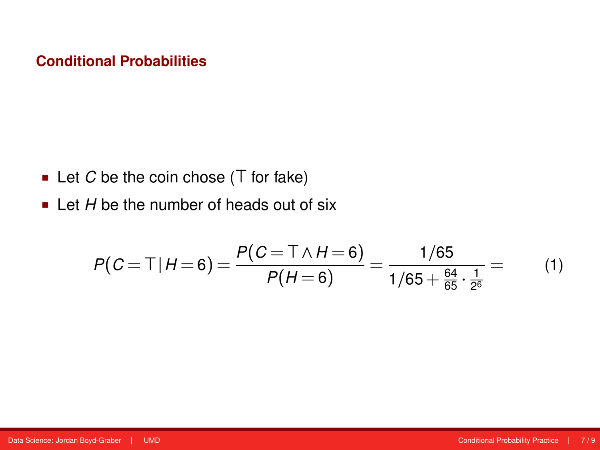- Let  $C$  be the coin chose  $(T$  for fake)
- Let *H* be the number of heads out of six

$$
P(C = T | H = 6) = \frac{P(C = T \land H = 6)}{P(H = 6)} = \frac{1/65}{1/65 + \frac{64}{65} \cdot \frac{1}{2^6}} = (1)
$$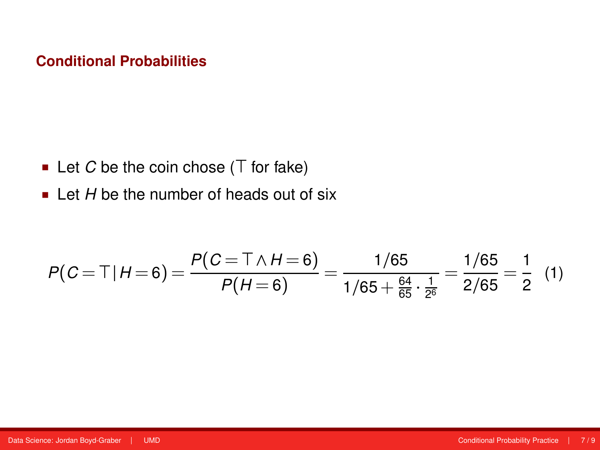- Let  $C$  be the coin chose  $(T$  for fake)
- Let *H* be the number of heads out of six

$$
P(C = T | H = 6) = \frac{P(C = T \land H = 6)}{P(H = 6)} = \frac{1/65}{1/65 + \frac{64}{65} \cdot \frac{1}{2^6}} = \frac{1/65}{2/65} = \frac{1}{2} (1)
$$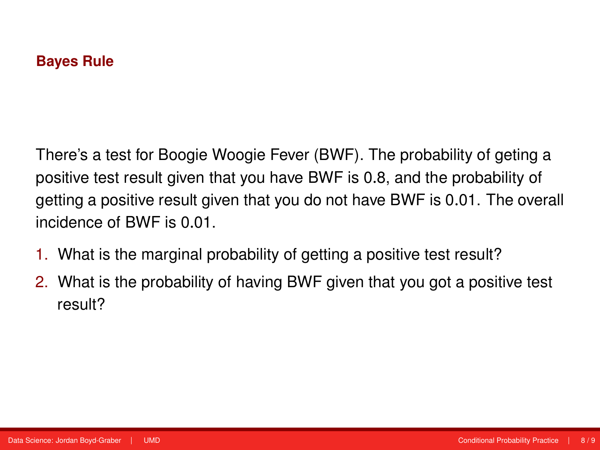There's a test for Boogie Woogie Fever (BWF). The probability of geting a positive test result given that you have BWF is 0.8, and the probability of getting a positive result given that you do not have BWF is 0.01. The overall incidence of BWF is 0.01.

- 1. What is the marginal probability of getting a positive test result?
- 2. What is the probability of having BWF given that you got a positive test result?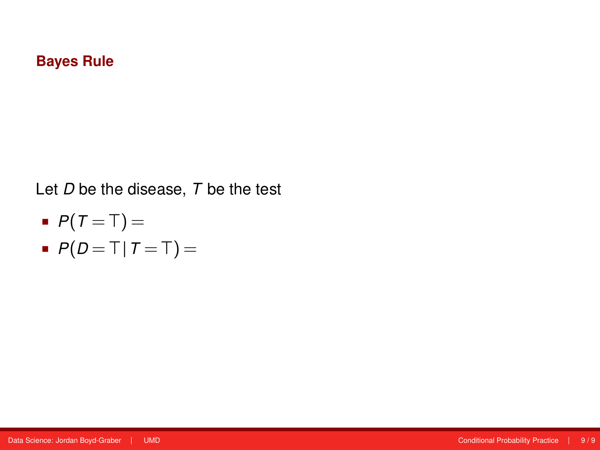- $P(T = T) =$
- $P(D = T | T = T) =$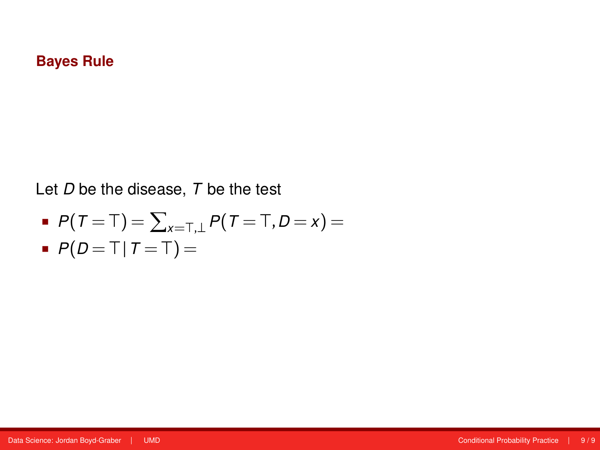$$
P(T = T) = \sum_{x=T,\perp} P(T = T, D = x) =
$$

$$
\blacksquare P(D = \top | T = \top) =
$$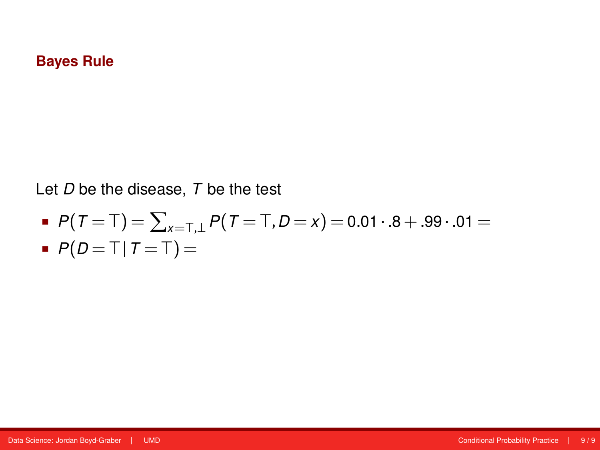$$
P(T = T) = \sum_{x=T, \perp} P(T = T, D = x) = 0.01 \cdot .8 + .99 \cdot .01 =
$$

$$
\blacksquare P(D = \top | T = \top) =
$$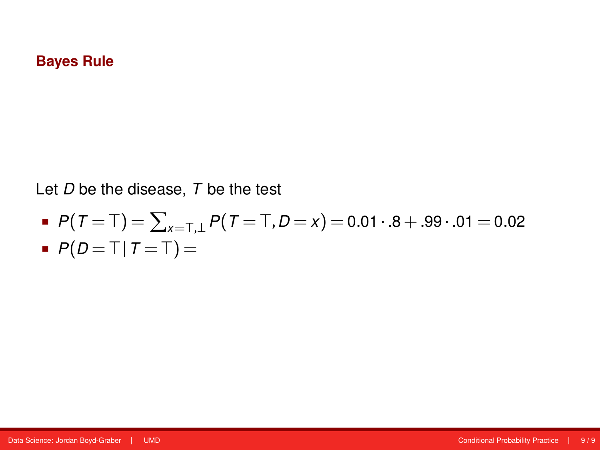$$
P(T = T) = \sum_{x = T, \perp} P(T = T, D = x) = 0.01 \cdot .8 + .99 \cdot .01 = 0.02
$$

$$
\blacksquare P(D = \top | T = \top) =
$$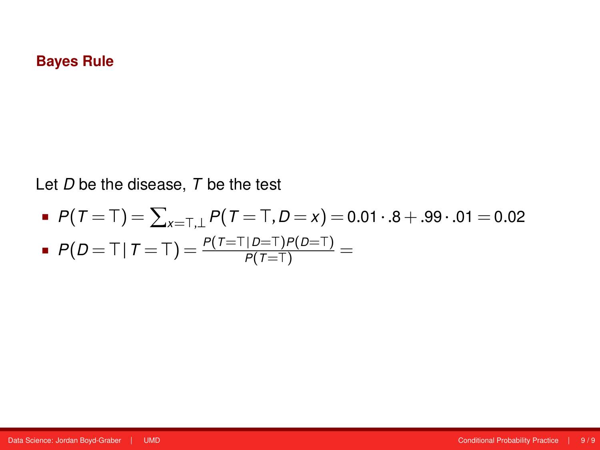\n- \n
$$
P(T = T) = \sum_{x = T, \perp} P(T = T, D = x) = 0.01 \cdot .8 + .99 \cdot .01 = 0.02
$$
\n
\n- \n
$$
P(D = T | T = T) = \frac{P(T = T | D = T)P(D = T)}{P(T = T)} =
$$
\n
\n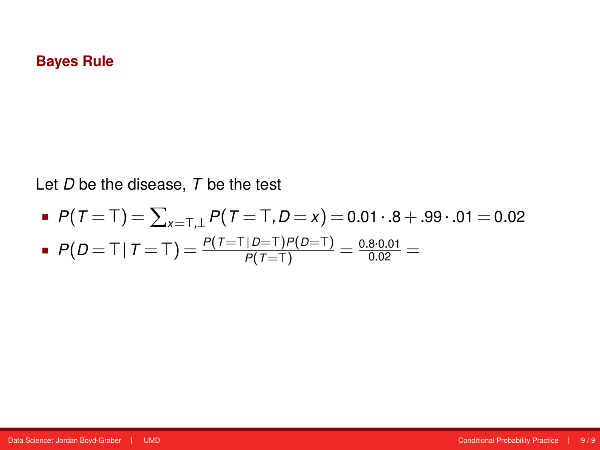$$
P(T = T) = \sum_{x=T, \perp} P(T = T, D = x) = 0.01 \cdot .8 + .99 \cdot .01 = 0.02
$$

$$
P(D = T | T = T) = \frac{P(T = T | D = T)P(D = T)}{P(T = T)} = \frac{0.8 \cdot 0.01}{0.02} =
$$